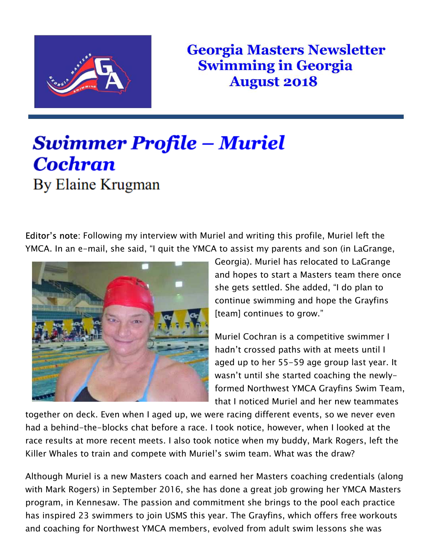

**Georgia Masters Newsletter Swimming in Georgia August 2018** 

## Swimmer Profile – Muriel **Cochran** By Elaine Krugman

*Editor's note: Following my interview with Muriel and writing this profile, Muriel left the YMCA. In an e-mail, she said, "I quit the YMCA to assist my parents and son (in LaGrange,* 



*Georgia). Muriel has relocated to LaGrange and hopes to start a Masters team there once she gets settled. She added, "I do plan to continue swimming and hope the Grayfins [team] continues to grow."* 

*Muriel Cochran is a competitive swimmer I hadn't crossed paths with at meets until I aged up to her 55-59 age group last year. It wasn't until she started coaching the newlyformed Northwest YMCA Grayfins Swim Team, that I noticed Muriel and her new teammates* 

*together on deck. Even when I aged up, we were racing different events, so we never even had a behind-the-blocks chat before a race. I took notice, however, when I looked at the*  race results at more recent meets. I also took notice when my buddy, Mark Rogers, left the *Killer Whales to train and compete with Muriel's swim team. What was the draw?* 

*Although Muriel is a new Masters coach and earned her Masters coaching credentials (along with Mark Rogers) in September 2016, she has done a great job growing her YMCA Masters program, in Kennesaw. The passion and commitment she brings to the pool each practice has inspired 23 swimmers to join USMS this year. The Grayfins, which offers free workouts and coaching for Northwest YMCA members, evolved from adult swim lessons she was*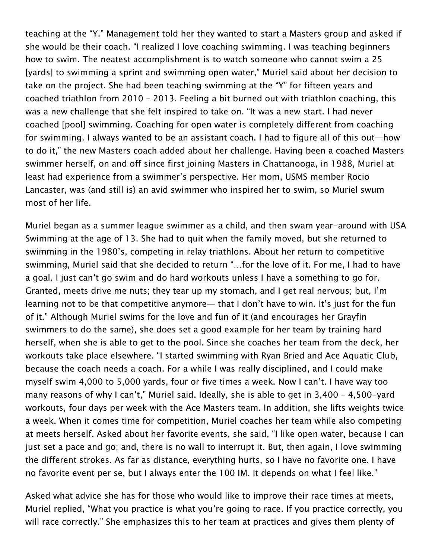*teaching at the "Y." Management told her they wanted to start a Masters group and asked if she would be their coach. "I realized I love coaching swimming. I was teaching beginners how to swim. The neatest accomplishment is to watch someone who cannot swim a 25 [yards] to swimming a sprint and swimming open water," Muriel said about her decision to take on the project. She had been teaching swimming at the "Y" for fifteen years and coached triathlon from 2010 – 2013. Feeling a bit burned out with triathlon coaching, this was a new challenge that she felt inspired to take on. "It was a new start. I had never coached [pool] swimming. Coaching for open water is completely different from coaching for swimming. I always wanted to be an assistant coach. I had to figure all of this out—how to do it," the new Masters coach added about her challenge. Having been a coached Masters swimmer herself, on and off since first joining Masters in Chattanooga, in 1988, Muriel at least had experience from a swimmer's perspective. Her mom, USMS member Rocio Lancaster, was (and still is) an avid swimmer who inspired her to swim, so Muriel swum most of her life.* 

*Muriel began as a summer league swimmer as a child, and then swam year-around with USA Swimming at the age of 13. She had to quit when the family moved, but she returned to swimming in the 1980's, competing in relay triathlons. About her return to competitive swimming, Muriel said that she decided to return "…for the love of it. For me, I had to have a goal. I just can't go swim and do hard workouts unless I have a something to go for. Granted, meets drive me nuts; they tear up my stomach, and I get real nervous; but, I'm learning not to be that competitive anymore— that I don't have to win. It's just for the fun of it." Although Muriel swims for the love and fun of it (and encourages her Grayfin swimmers to do the same), she does set a good example for her team by training hard herself, when she is able to get to the pool. Since she coaches her team from the deck, her workouts take place elsewhere. "I started swimming with Ryan Bried and Ace Aquatic Club, because the coach needs a coach. For a while I was really disciplined, and I could make myself swim 4,000 to 5,000 yards, four or five times a week. Now I can't. I have way too many reasons of why I can't," Muriel said. Ideally, she is able to get in 3,400 – 4,500-yard workouts, four days per week with the Ace Masters team. In addition, she lifts weights twice a week. When it comes time for competition, Muriel coaches her team while also competing at meets herself. Asked about her favorite events, she said, "I like open water, because I can just set a pace and go; and, there is no wall to interrupt it. But, then again, I love swimming the different strokes. As far as distance, everything hurts, so I have no favorite one. I have no favorite event per se, but I always enter the 100 IM. It depends on what I feel like."* 

*Asked what advice she has for those who would like to improve their race times at meets, Muriel replied, "What you practice is what you're going to race. If you practice correctly, you will race correctly." She emphasizes this to her team at practices and gives them plenty of*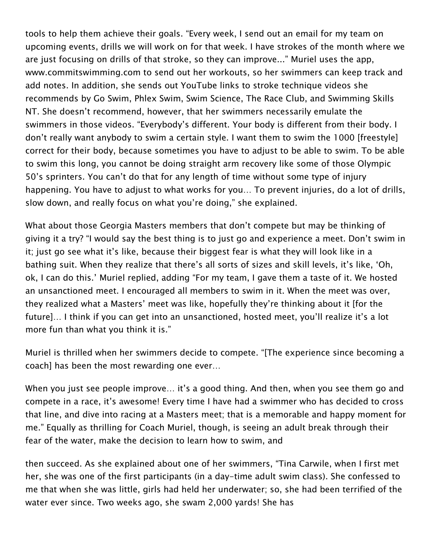*tools to help them achieve their goals. "Every week, I send out an email for my team on upcoming events, drills we will work on for that week. I have strokes of the month where we are just focusing on drills of that stroke, so they can improve..." Muriel uses the app, www.commitswimming.com to send out her workouts, so her swimmers can keep track and add notes. In addition, she sends out YouTube links to stroke technique videos she recommends by Go Swim, Phlex Swim, Swim Science, The Race Club, and Swimming Skills NT. She doesn't recommend, however, that her swimmers necessarily emulate the swimmers in those videos. "Everybody's different. Your body is different from their body. I don't really want anybody to swim a certain style. I want them to swim the 1000 [freestyle] correct for their body, because sometimes you have to adjust to be able to swim. To be able to swim this long, you cannot be doing straight arm recovery like some of those Olympic 50's sprinters. You can't do that for any length of time without some type of injury happening. You have to adjust to what works for you… To prevent injuries, do a lot of drills, slow down, and really focus on what you're doing," she explained.* 

*What about those Georgia Masters members that don't compete but may be thinking of giving it a try? "I would say the best thing is to just go and experience a meet. Don't swim in it; just go see what it's like, because their biggest fear is what they will look like in a bathing suit. When they realize that there's all sorts of sizes and skill levels, it's like, 'Oh, ok, I can do this.' Muriel replied, adding "For my team, I gave them a taste of it. We hosted an unsanctioned meet. I encouraged all members to swim in it. When the meet was over, they realized what a Masters' meet was like, hopefully they're thinking about it [for the future]… I think if you can get into an unsanctioned, hosted meet, you'll realize it's a lot more fun than what you think it is."* 

*Muriel is thrilled when her swimmers decide to compete. "[The experience since becoming a coach] has been the most rewarding one ever…* 

*When you just see people improve… it's a good thing. And then, when you see them go and compete in a race, it's awesome! Every time I have had a swimmer who has decided to cross that line, and dive into racing at a Masters meet; that is a memorable and happy moment for me." Equally as thrilling for Coach Muriel, though, is seeing an adult break through their fear of the water, make the decision to learn how to swim, and* 

*then succeed. As she explained about one of her swimmers, "Tina Carwile, when I first met her, she was one of the first participants (in a day-time adult swim class). She confessed to me that when she was little, girls had held her underwater; so, she had been terrified of the water ever since. Two weeks ago, she swam 2,000 yards! She has*